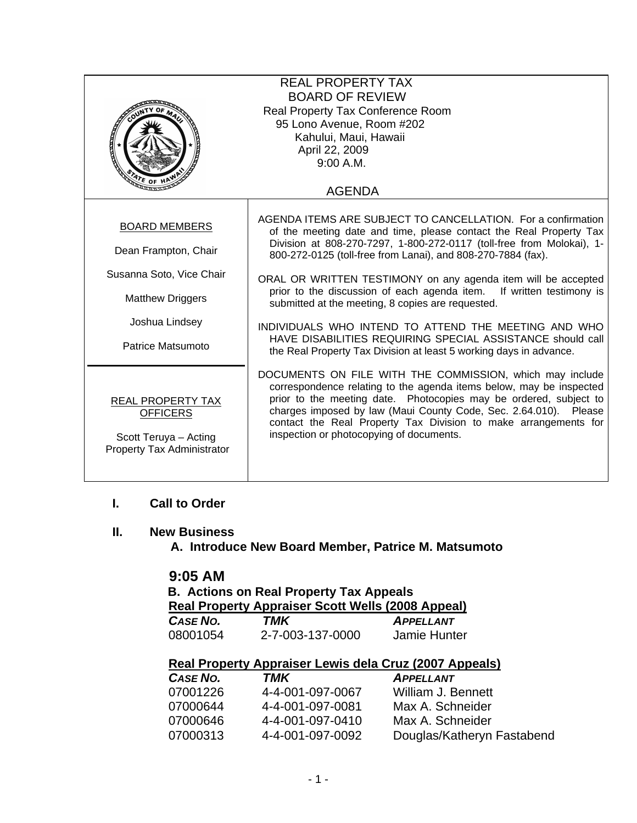| <b>REAL PROPERTY TAX</b><br><b>BOARD OF REVIEW</b><br>Real Property Tax Conference Room<br>95 Lono Avenue, Room #202<br>Kahului, Maui, Hawaii<br>April 22, 2009 |                                                                                                                                                                                                                                                                                                                                                                                         |  |
|-----------------------------------------------------------------------------------------------------------------------------------------------------------------|-----------------------------------------------------------------------------------------------------------------------------------------------------------------------------------------------------------------------------------------------------------------------------------------------------------------------------------------------------------------------------------------|--|
| 9:00 A.M.                                                                                                                                                       |                                                                                                                                                                                                                                                                                                                                                                                         |  |
|                                                                                                                                                                 | <b>AGENDA</b>                                                                                                                                                                                                                                                                                                                                                                           |  |
| <b>BOARD MEMBERS</b>                                                                                                                                            | AGENDA ITEMS ARE SUBJECT TO CANCELLATION. For a confirmation<br>of the meeting date and time, please contact the Real Property Tax                                                                                                                                                                                                                                                      |  |
| Dean Frampton, Chair                                                                                                                                            | Division at 808-270-7297, 1-800-272-0117 (toll-free from Molokai), 1-<br>800-272-0125 (toll-free from Lanai), and 808-270-7884 (fax).                                                                                                                                                                                                                                                   |  |
| Susanna Soto, Vice Chair                                                                                                                                        | ORAL OR WRITTEN TESTIMONY on any agenda item will be accepted                                                                                                                                                                                                                                                                                                                           |  |
| <b>Matthew Driggers</b>                                                                                                                                         | prior to the discussion of each agenda item. If written testimony is<br>submitted at the meeting, 8 copies are requested.                                                                                                                                                                                                                                                               |  |
| Joshua Lindsey                                                                                                                                                  | INDIVIDUALS WHO INTEND TO ATTEND THE MEETING AND WHO<br>HAVE DISABILITIES REQUIRING SPECIAL ASSISTANCE should call                                                                                                                                                                                                                                                                      |  |
| Patrice Matsumoto                                                                                                                                               | the Real Property Tax Division at least 5 working days in advance.                                                                                                                                                                                                                                                                                                                      |  |
| <b>REAL PROPERTY TAX</b><br><b>OFFICERS</b><br>Scott Teruya - Acting<br>Property Tax Administrator                                                              | DOCUMENTS ON FILE WITH THE COMMISSION, which may include<br>correspondence relating to the agenda items below, may be inspected<br>prior to the meeting date. Photocopies may be ordered, subject to<br>charges imposed by law (Maui County Code, Sec. 2.64.010). Please<br>contact the Real Property Tax Division to make arrangements for<br>inspection or photocopying of documents. |  |

### **I. Call to Order**

### **II. New Business**

 **A. Introduce New Board Member, Patrice M. Matsumoto** 

## **9:05 AM**

 **B. Actions on Real Property Tax Appeals Real Property Appraiser Scott Wells (2008 Appeal)**<br>CASE No. TMK **APPELLANT**  $APPELLANT$ 08001054 2-7-003-137-0000 Jamie Hunter

#### **Real Property Appraiser Lewis dela Cruz (2007 Appeals)**

| CASE NO. | TMK              | <b>APPELLANT</b>           |
|----------|------------------|----------------------------|
| 07001226 | 4-4-001-097-0067 | William J. Bennett         |
| 07000644 | 4-4-001-097-0081 | Max A. Schneider           |
| 07000646 | 4-4-001-097-0410 | Max A. Schneider           |
| 07000313 | 4-4-001-097-0092 | Douglas/Katheryn Fastabend |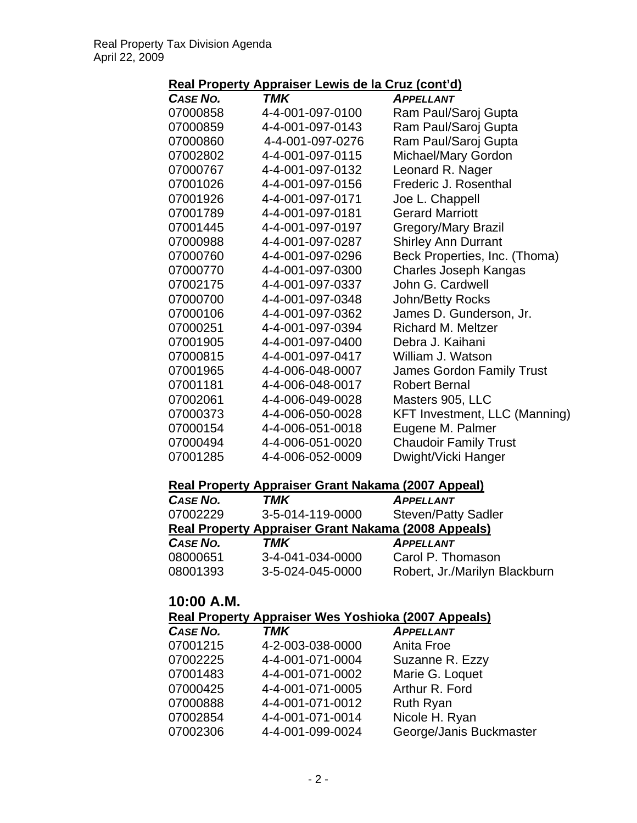# **Real Property Appraiser Lewis de la Cruz (cont'd)**

| <b>TMK</b>       | <b>APPELLANT</b>                     |
|------------------|--------------------------------------|
| 4-4-001-097-0100 | Ram Paul/Saroj Gupta                 |
| 4-4-001-097-0143 | Ram Paul/Saroj Gupta                 |
| 4-4-001-097-0276 | Ram Paul/Saroj Gupta                 |
| 4-4-001-097-0115 | Michael/Mary Gordon                  |
| 4-4-001-097-0132 | Leonard R. Nager                     |
| 4-4-001-097-0156 | Frederic J. Rosenthal                |
| 4-4-001-097-0171 | Joe L. Chappell                      |
| 4-4-001-097-0181 | <b>Gerard Marriott</b>               |
| 4-4-001-097-0197 | <b>Gregory/Mary Brazil</b>           |
| 4-4-001-097-0287 | <b>Shirley Ann Durrant</b>           |
| 4-4-001-097-0296 | Beck Properties, Inc. (Thoma)        |
| 4-4-001-097-0300 | Charles Joseph Kangas                |
| 4-4-001-097-0337 | John G. Cardwell                     |
| 4-4-001-097-0348 | John/Betty Rocks                     |
| 4-4-001-097-0362 | James D. Gunderson, Jr.              |
| 4-4-001-097-0394 | <b>Richard M. Meltzer</b>            |
| 4-4-001-097-0400 | Debra J. Kaihani                     |
| 4-4-001-097-0417 | William J. Watson                    |
| 4-4-006-048-0007 | James Gordon Family Trust            |
| 4-4-006-048-0017 | <b>Robert Bernal</b>                 |
| 4-4-006-049-0028 | Masters 905, LLC                     |
| 4-4-006-050-0028 | <b>KFT Investment, LLC (Manning)</b> |
| 4-4-006-051-0018 | Eugene M. Palmer                     |
| 4-4-006-051-0020 | <b>Chaudoir Family Trust</b>         |
| 4-4-006-052-0009 | Dwight/Vicki Hanger                  |
|                  |                                      |

## **Real Property Appraiser Grant Nakama (2007 Appeal)**

| CASE NO. | <b>TMK</b>                                                 | <b>APPELLANT</b>              |
|----------|------------------------------------------------------------|-------------------------------|
| 07002229 | 3-5-014-119-0000                                           | <b>Steven/Patty Sadler</b>    |
|          | <b>Real Property Appraiser Grant Nakama (2008 Appeals)</b> |                               |
| CASE NO. | TMK                                                        | <b>APPELLANT</b>              |
| 08000651 | 3-4-041-034-0000                                           | Carol P. Thomason             |
| 08001393 | 3-5-024-045-0000                                           | Robert, Jr./Marilyn Blackburn |

# **10:00 A.M.**

# **Real Property Appraiser Wes Yoshioka (2007 Appeals)**

| CASE NO. | <b>TMK</b>       | <b>APPELLANT</b>        |
|----------|------------------|-------------------------|
| 07001215 | 4-2-003-038-0000 | Anita Froe              |
| 07002225 | 4-4-001-071-0004 | Suzanne R. Ezzy         |
| 07001483 | 4-4-001-071-0002 | Marie G. Loquet         |
| 07000425 | 4-4-001-071-0005 | Arthur R. Ford          |
| 07000888 | 4-4-001-071-0012 | <b>Ruth Ryan</b>        |
| 07002854 | 4-4-001-071-0014 | Nicole H. Ryan          |
| 07002306 | 4-4-001-099-0024 | George/Janis Buckmaster |